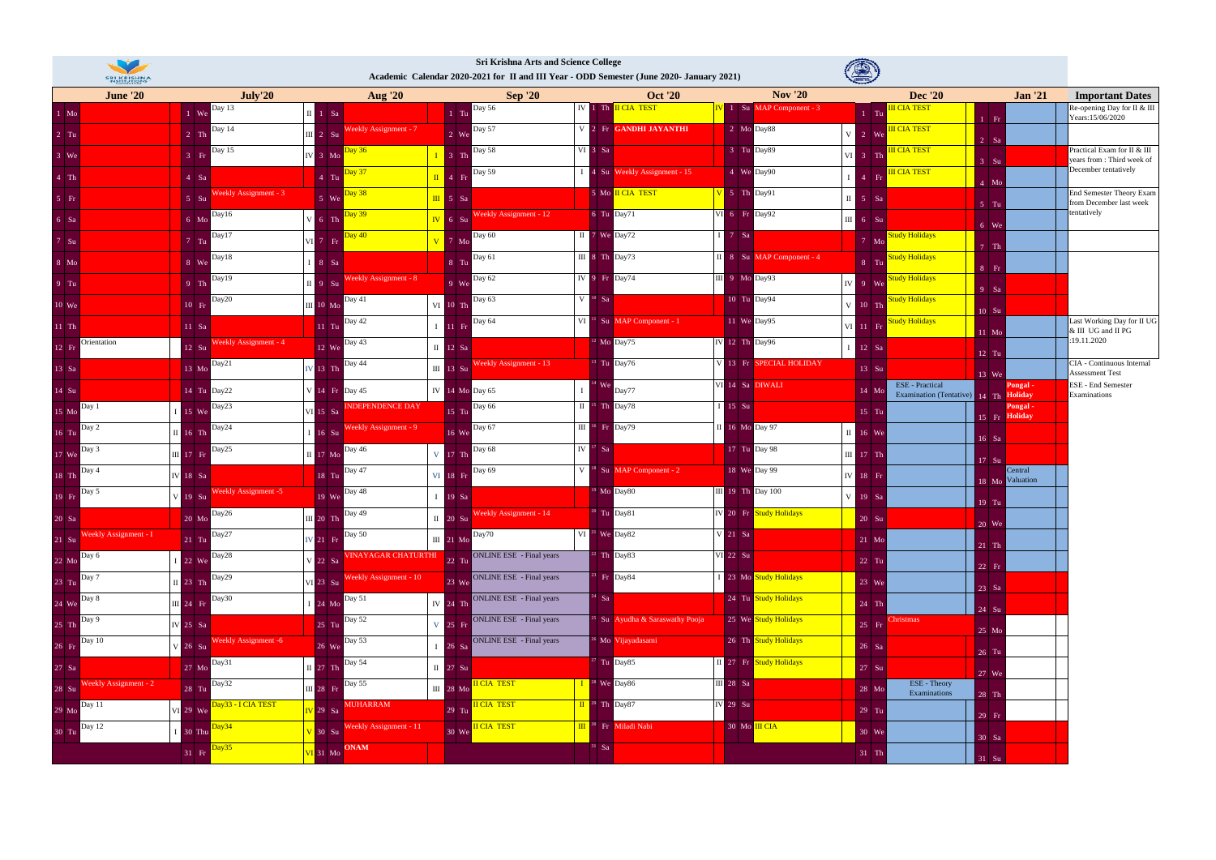| V<br><b>SRI KRISHNA</b>     |                                          |                                   | <b>Sri Krishna Arts and Science College</b><br>Academic Calendar 2020-2021 for II and III Year - ODD Semester (June 2020- January 2021) |                                                      |                                                                                                            |                                                                          |                            |                                                            |
|-----------------------------|------------------------------------------|-----------------------------------|-----------------------------------------------------------------------------------------------------------------------------------------|------------------------------------------------------|------------------------------------------------------------------------------------------------------------|--------------------------------------------------------------------------|----------------------------|------------------------------------------------------------|
| <b>June '20</b>             | July'20                                  | <b>Aug</b> '20                    | <b>Sep '20</b>                                                                                                                          | <b>Oct '20</b>                                       | <b>Nov</b> '20                                                                                             | <b>Dec</b> '20                                                           | <b>Jan '21</b>             | <b>Important Dates</b>                                     |
| $1$ Mo $\,$                 | 1 We Day 13                              | $\mathbf{II}$ 1 Sa                | <b>Day 56</b><br>$1$ Tu                                                                                                                 | IV 1 Th II CIA TEST                                  | 1 Su MAP Component - 3                                                                                     | <mark>III CIA TEST</mark><br>$1$ Tu<br>$1$ Fr                            |                            | Re-opening Day for II & III<br>Years:15/06/2020            |
| $2$ Tu                      | Day 14<br>$2$ Th                         | III 2 Su Weekly Assignment - 7    | <b>Day 57</b><br>$2$ We                                                                                                                 | V 2 Fr GANDHI JAYANTHI                               | 2 Mo Day88                                                                                                 | <b>III CIA TEST</b><br>$V = 2$ We<br>$2$ Sa                              |                            |                                                            |
| $3$ We                      | Day 15<br>$3$ Fr                         | V 3 Mo Day 36                     | Day 58<br>$I$ 3 Th                                                                                                                      | VI 3 Sa                                              | 3 Tu Day89                                                                                                 | <b>III CIA TEST</b><br>$VI$ 3 Th<br>$3$ Su                               |                            | Practical Exam for II & III<br>years from : Third week of  |
| $4$ Th                      | $4$ Sa                                   | 4 Tu Day 37                       | Day 59<br>$\begin{array}{ c c c c }\n\hline\n\textbf{II} & 4 & \textbf{Fr}\n\end{array}$                                                | 1 4 Su Weekly Assignment - 15                        | 4 We Day90                                                                                                 | <b>III CIA TEST</b><br>$4$ Fr<br>$4$ Mo                                  |                            | December tentatively                                       |
| $5$ Fr                      | Weekly Assignment - 3<br>$5 \text{ S}$ u | 5 We Day 38                       | $\begin{array}{ c c c c c } \hline \text{III} & 5 & \text{Sa} \end{array}$                                                              | 5 Mo II CIA TEST                                     | $V$ 5 Th Day91                                                                                             | $II \quad 5$ Sa<br>$5$ Tu                                                |                            | <b>End Semester Theory Exam</b><br>from December last week |
| $6$ Sa                      | Day16<br>$6 \text{ Mo}$                  | Day 39<br>$V$ 6 Th                | Weekly Assignment - 12<br>$\overline{IV}$ 6 $\overline{Su}$                                                                             | 6 Tu Day71                                           | VI 6 Fr Day92                                                                                              | $III$ 6 Su<br>$6$ We                                                     |                            | tentatively                                                |
| 7 S <sub>u</sub>            | Day17<br>$7$ Tu                          | Day 40<br>$VI$ 7 Fr               | $V$ 7 Mo Day 60                                                                                                                         | II 7 We Day72                                        | $17$ Sa                                                                                                    | <b>Study Holidays</b><br>$7$ Mo<br>$7$ Th                                |                            |                                                            |
| 8 Mo                        | Day18<br>$8$ We                          | $I 8$ Sa                          | 8 Tu Day 61                                                                                                                             | $\overline{III}$ 8 Th Day73                          | II 8 Su MAP Component - 4                                                                                  | <b>Study Holidays</b><br>$8$ Tu<br>8 Fr                                  |                            |                                                            |
| $9$ Tu                      | Day19<br>$9$ Th                          | II 9 Su Weekly Assignment - 8     | 9 We Day 62                                                                                                                             | IV 9 Fr Day74                                        | $III$ 9 Mo Day93                                                                                           | Study Holidays<br>IV 9 We<br>$9$ Sa                                      |                            |                                                            |
| 10 We                       | Day20<br>$10$ Fr                         | III 10 Mo Day 41                  | VI 10 Th Day 63                                                                                                                         | $V$ <sup>10</sup> Sa                                 | 10 Tu Day94                                                                                                | Study Holidays<br>$V$ 10 Th<br>10 Su                                     |                            |                                                            |
| $11$ Th                     | $11$ Sa                                  | Day 42<br>$11$ Tu                 | $\begin{array}{ c c } \hline \text{I} & \text{I1} & \text{Fr} \end{array}$ Day 64                                                       | $VI$ <sup>11</sup> Su MAP Component - 1              | 11 We Day95                                                                                                | <b>Study Holidays</b><br>VI 11 Fr<br>$11$ Mo                             |                            | Last Working Day for II UG<br>& III UG and II PG           |
| Orientation<br>$12$ Fr      | Weekly Assignment - 4<br>12 Su           | 12 We Day 43                      | $\overline{II}$ 12 Sa                                                                                                                   | $12$ Mo Day75                                        | IV 12 Th Day96                                                                                             | 12 Sa<br>12 Tu                                                           |                            | :19.11.2020                                                |
| 13 Sa                       | Day21<br>13 Mo                           | Day 44<br>$V$ 13 Th               | III 13 Su Weekly Assignment - 13                                                                                                        | $13$ Tu Day76                                        | V 13 Fr SPECIAL HOLIDAY                                                                                    | 13 Su<br>13 We                                                           |                            | CIA - Continuous Internal<br>Assessment Test               |
| $14$ Su                     | 14 Tu Day22                              | V 14 Fr Day 45                    | IV 14 Mo Day 65                                                                                                                         | We Day77                                             | VI 14 Sa DIWALI                                                                                            | <b>ESE</b> - Practical<br>14 Mo<br>Examination (Tentative) 14 Th Holiday | Pongal .                   | <b>ESE - End Semester</b><br>Examinations                  |
| 15 Mo Day 1                 | 15 We Day 23                             | VI 15 Sa <b>INDEPENDENCE DAY</b>  | Day 66<br>15 Tu                                                                                                                         | $II$ <sup>15</sup> Th Day78                          | $I$ 15 Su                                                                                                  | $15$ Tu                                                                  | Pongal -<br>15 Fr Holiday  |                                                            |
| 16 Tu Day 2                 | II 16 Th Day 24                          | 16 Su Weekly Assignment - 9       | 16 We Day 67                                                                                                                            | $III$ <sup>16</sup> Fr Day79                         | II 16 Mo Day 97                                                                                            | $\overline{II}$ 16 We<br>$16$ Sa                                         |                            |                                                            |
| 17 We Day 3                 | Day25<br>III 17 Fr                       | Day $46$<br>$\overline{II}$ 17 Mo | Day 68<br>V 17 Th                                                                                                                       | $IV17$ Sa                                            | 17 Tu Day 98                                                                                               | III 17 Th<br>$17$ Su                                                     |                            |                                                            |
| 18 Th Day 4                 | <b>IV</b> 18 Sa                          | Day 47<br>$18$ Tu                 | VI 18 Fr Day 69                                                                                                                         | $V$ <sup>18</sup> Su MAP Component - 2               | 18 We Day 99                                                                                               | $IV$ 18 $Fr$                                                             | Central<br>18 Mo Valuation |                                                            |
| $19$ Fr $\overline{Day 5}$  | Weekly Assignment -5<br>V 19 Su          | <b>Day 48</b><br>19 We            | $1 \t19$ Sa                                                                                                                             | <sup>19</sup> Mo Day80                               | $\begin{array}{ c c c c c }\n\hline\n\text{III} & 19 & \text{Th} & \text{Day } 100 \\ \hline\n\end{array}$ | V 19 Sa<br>19 Tu                                                         |                            |                                                            |
| $20$ Sa                     | 20 Mo Day26                              | III 20 Th Day 49                  | II 20 Su Weekly Assignment - 14                                                                                                         | <sup>20</sup> Tu Day81                               | IV 20 Fr Study Holidays                                                                                    | 20 Su<br>20 We                                                           |                            |                                                            |
| 21 Su Weekly Assignment - I | 21 Tu Day27                              | V 21 Fr Day 50                    | III 21 Mo Day70                                                                                                                         | VI <sup>21</sup> We Day82                            | $V$ 21 Sa                                                                                                  | 21 Mo<br>$21$ Th                                                         |                            |                                                            |
| $22 \text{ Mo}$ Day 6       | 22 We Day 28                             | V 22 Sa VINAYAGAR CHATURTHI       | <b>ONLINE ESE</b> - Final years<br>$22$ Tu                                                                                              | $22$ Th Day83                                        | <b>VI</b> 22 Su                                                                                            | $22$ Tu<br>$22$ Fr                                                       |                            |                                                            |
| 23 Tu Day 7                 | II 23 Th Day29                           | VI 23 Su Weekly Assignment - 10   | <b>ONLINE ESE</b> - Final years<br>23 We                                                                                                | Fr Day84                                             | I 23 Mo Study Holidays                                                                                     | 23 We<br>$\vert$ 23 Sa                                                   |                            |                                                            |
| 24 We Day 8                 | III 24 Fr Day30                          | 24 Mo Day 51                      | <b>ONLINE ESE</b> - Final years<br>IV $24$ Th                                                                                           | $24$ Sa                                              | 24 Tu Study Holidays                                                                                       | 24 Th<br>$24$ Su                                                         |                            |                                                            |
| 25 Th Day 9                 | IV 25 Sa                                 | 25 Tu Day 52                      | <b>ONLINE ESE</b> - Final years<br>$V$ 25 Fr                                                                                            | <sup>25</sup> Su Ayudha & Saraswathy Pooja           | 25 We Study Holidays                                                                                       | Christmas<br>$25$ Fr<br>25 Mo                                            |                            |                                                            |
| 26 Fr Day 10                | V 26 Su Weekly Assignment -6             | 26 We Day 53                      | ONLINE ESE - Final years<br>$26$ Sa                                                                                                     | <sup>26</sup> Mo Vijayadasami                        | 26 Th Study Holidays                                                                                       | 26 Sa<br>$26$ Tu                                                         |                            |                                                            |
| $27$ Sa                     | 27 Mo Day31                              | V 27 Th Day 54                    | $\overline{II}$ 27 Su                                                                                                                   | $27$ Tu Day85                                        | II 27 Fr Study Holidays                                                                                    | 27 Su<br>27 We                                                           |                            |                                                            |
| 28 Su Weekly Assignment - 2 | 28 Tu Day32                              | III 28 Fr Day 55                  | <b>II CIA TEST</b><br>III 28 Mo                                                                                                         | $\frac{1}{28}$ We Day86                              | <b>III</b> 28 Sa                                                                                           | ESE - Theory<br>28 Mo<br>Examinations<br>$28$ Th                         |                            |                                                            |
| $29$ Mo $\overline{$ Day 11 | Day33 - I CIA TEST<br>VI 29 We           | 29 Sa MUHARRAM                    | <b>II CIA TEST</b><br>$29$ Tu                                                                                                           | $\frac{\text{II}}{\text{II}}$ <sup>29</sup> Th Day87 | <b>IV</b> 29 Su                                                                                            | 29 Tu<br>$\vert$ 29 Fr                                                   |                            |                                                            |
| 30 Tu Day 12                | 30 Thu Day 34                            | 30 Su Weekly Assignment - 11      | <b>II CIA TEST</b><br>30 We                                                                                                             | III <sup>30</sup> Fr Miladi Nabi                     | $30$ Mo $\overline{III}$ CIA                                                                               | 30 We<br>$30$ Sa                                                         |                            |                                                            |
|                             | 31 Fr Day35                              | VI 31 Mo ONAM                     |                                                                                                                                         | $31$ Sa                                              |                                                                                                            | $31$ Th<br>$31$ Su                                                       |                            |                                                            |



## **Sri Krishna Arts and Science College**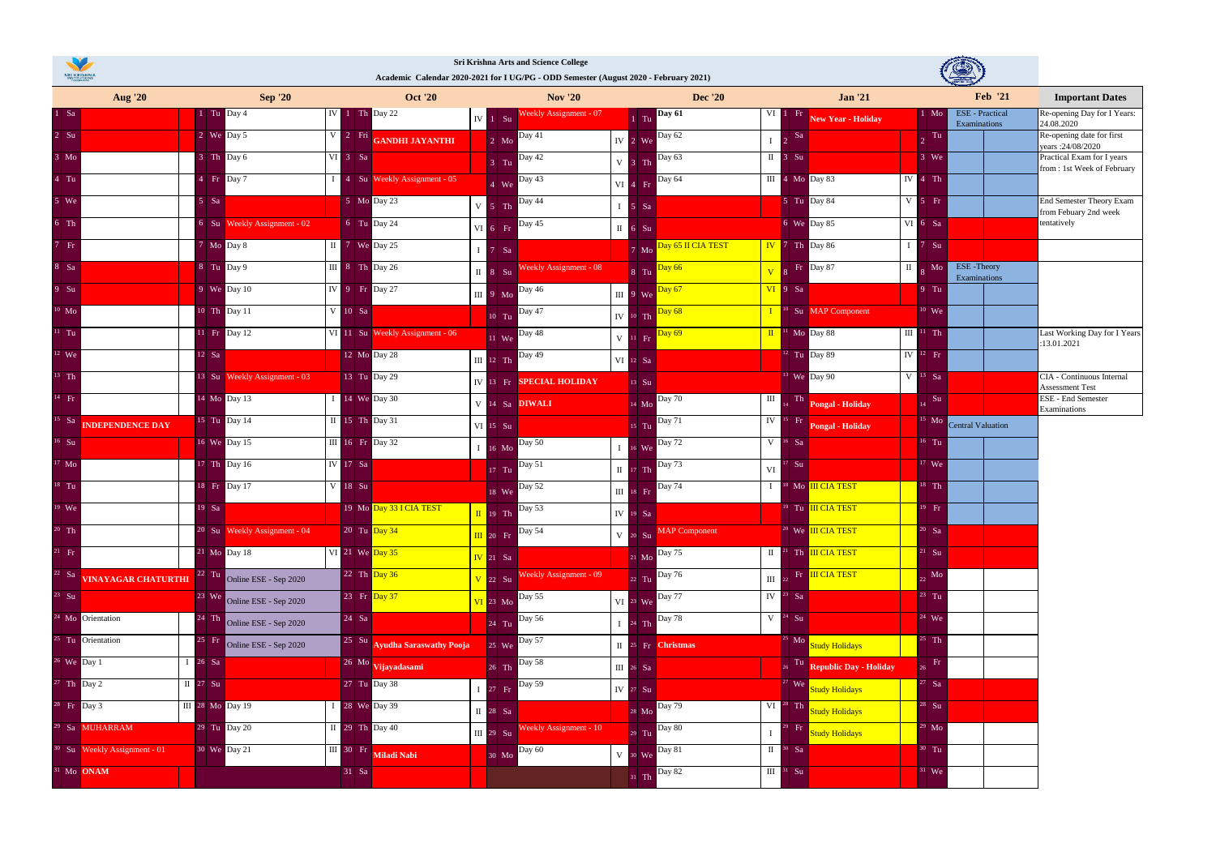|                  | <b>Aug</b> '20                          | <b>Sep '20</b>                                                                                                                                                                                                                                                                                                                                                                                                         | <b>Oct '20</b>                                                                                                                                                 | <b>Nov</b> '20                                                                                   | <b>Dec</b> '20                                                                                                                                              | <b>Jan '21</b>                                                                                                        | <b>Feb</b> '21                                                                   | <b>Important Dates</b>                                   |
|------------------|-----------------------------------------|------------------------------------------------------------------------------------------------------------------------------------------------------------------------------------------------------------------------------------------------------------------------------------------------------------------------------------------------------------------------------------------------------------------------|----------------------------------------------------------------------------------------------------------------------------------------------------------------|--------------------------------------------------------------------------------------------------|-------------------------------------------------------------------------------------------------------------------------------------------------------------|-----------------------------------------------------------------------------------------------------------------------|----------------------------------------------------------------------------------|----------------------------------------------------------|
| $1$ Sa           |                                         | $1$ Tu Day 4                                                                                                                                                                                                                                                                                                                                                                                                           | $IV$ 1 Th Day 22                                                                                                                                               | Weekly Assignment - 07<br>$IV$ 1 $Su$                                                            | <b>Day 61</b><br>$1$ Tu                                                                                                                                     | $VI$ 1 Fr<br><b>New Year - Holiday</b>                                                                                | <b>ESE</b> - Practical<br>$1$ Mo<br>Examinations                                 | Re-opening Day for I Years:<br>24.08.2020                |
| 2 S <sub>u</sub> |                                         | 2 We Day 5                                                                                                                                                                                                                                                                                                                                                                                                             | V 2 Fri GANDHI JAYANTHI                                                                                                                                        | 2 Mo Day 41                                                                                      | IV $2$ We $\overline{$ Day 62                                                                                                                               | - Sa<br>$\mathbf{I}$ 2                                                                                                | Ta<br>$\overline{2}$                                                             | Re-opening date for first<br>years: 24/08/2020           |
| $3 \text{ Mo}$   |                                         | 3 Th Day 6                                                                                                                                                                                                                                                                                                                                                                                                             | $VI$ 3 Sa                                                                                                                                                      | <b>Day 42</b><br>$3$ Tu                                                                          | Day 63<br>$V$ 3 Th                                                                                                                                          | $\mathbb{I}$ 3 Su                                                                                                     | $3$ We                                                                           | Practical Exam for I years<br>from: 1st Week of February |
| $4$ Tu           |                                         | $4$ Fr Day 7                                                                                                                                                                                                                                                                                                                                                                                                           | 1 4 Su Weekly Assignment - 05                                                                                                                                  | 4 We Day 43                                                                                      | VI 4 Fr Day 64                                                                                                                                              | $\overline{III}$ 4 Mo Day 83                                                                                          | $IV$ 4 Th                                                                        |                                                          |
| $5$ We           |                                         | $5$ Sa                                                                                                                                                                                                                                                                                                                                                                                                                 | $5$ Mo Day 23                                                                                                                                                  | $V$ 5 Th $\overline{Day 44}$                                                                     | $I$ 5 Sa                                                                                                                                                    | 5 Tu Day 84                                                                                                           | $V$ 5 Fr                                                                         | End Semester Theory Exam<br>from Febuary 2nd week        |
| $6$ Th           |                                         | 6 Su Weekly Assignment - 02                                                                                                                                                                                                                                                                                                                                                                                            | 6 Tu Day 24                                                                                                                                                    | Day $45$<br>$VI$ 6 Fr                                                                            | $\overline{II}$ 6 Su                                                                                                                                        | 6 We Day 85                                                                                                           | VI 6 Sa                                                                          | tentatively                                              |
| 7 Fr             |                                         | 7 Mo Day 8                                                                                                                                                                                                                                                                                                                                                                                                             | $\begin{array}{ c c c }\n\hline\nI & 7 \hline\nWe & Day 25\n\end{array}$                                                                                       | $I$ 7 Sa                                                                                         | 7 Mo Day 65 II CIA TEST                                                                                                                                     | $\begin{array}{ c c c c c }\n\hline\n\textbf{IV} & \textbf{7} & \textbf{Th} & \textbf{Day 86} \\ \hline\n\end{array}$ | $1 \quad 7 \quad$ Su                                                             |                                                          |
| 8 Sa             |                                         | 8 Tu Day 9                                                                                                                                                                                                                                                                                                                                                                                                             | $\begin{array}{ c c c c c } \hline \end{array}$ 11 $\begin{array}{ c c c c c } \hline \end{array}$ 8 $\begin{array}{ c c c c c } \hline \end{array}$ Th Day 26 | Weekly Assignment - 08<br>$\overline{11}$ 8 Su                                                   | 8 Tu Day 66                                                                                                                                                 | Fr Day 87<br>$\overline{\mathbf{V}}$                                                                                  | $\overline{\mathbb{I}}$ $\overline{\mathbb{R}}$ Mo<br>ESE-Theory<br>Examinations |                                                          |
| 9 S <sub>u</sub> |                                         | 9 We Day 10                                                                                                                                                                                                                                                                                                                                                                                                            | IV 9 Fr Day 27                                                                                                                                                 | $\begin{array}{ c c c }\n\hline\n\text{III} & \text{9} & \text{Mo} & \text{Day 46}\n\end{array}$ | $\begin{array}{ c c c }\n\hline\n\end{array}$ 9 We $\begin{array}{ c c }\n\hline\n\end{array}$ Day 67                                                       | $VI$ 9 Sa                                                                                                             | $9$ Tu                                                                           |                                                          |
| $10$ Mo          |                                         | 10 Th Day 11                                                                                                                                                                                                                                                                                                                                                                                                           | V 10 Sa                                                                                                                                                        | 10 Tu Day 47                                                                                     | Day 68<br>$IV$ 10 Th                                                                                                                                        | $I$ <sup>10</sup> Su MAP Component                                                                                    | $10$ We                                                                          |                                                          |
| $11$ Tu          |                                         | 11 Fr Day 12                                                                                                                                                                                                                                                                                                                                                                                                           | VI 11 Su Weekly Assignment - 06                                                                                                                                | 11 We Day 48                                                                                     | Day 69<br>$V$ 11 $Fr$                                                                                                                                       | $\frac{1}{2}$ Mo Day 88                                                                                               | $III$ <sup>11</sup> Th                                                           | Last Working Day for I Years<br>:13.01.2021              |
| $12$ We          |                                         | $12$ Sa                                                                                                                                                                                                                                                                                                                                                                                                                | 12 Mo Day 28                                                                                                                                                   | III 12 Th Day 49                                                                                 | VI 12 Sa                                                                                                                                                    | $12$ Tu Day 89                                                                                                        | $IV$ <sup>12</sup> Fr                                                            |                                                          |
| $13$ Th          |                                         | 13 Su Weekly Assignment - 03                                                                                                                                                                                                                                                                                                                                                                                           | 13 Tu Day 29                                                                                                                                                   | IV 13 Fr SPECIAL HOLIDAY                                                                         | $13$ Su                                                                                                                                                     | $13$ We Day 90                                                                                                        | $V$ <sup>13</sup> Sa                                                             | CIA - Continuous Internal                                |
| $14$ Fr          |                                         | 14 Mo Day 13                                                                                                                                                                                                                                                                                                                                                                                                           | $I$ 14 We Day 30                                                                                                                                               | V 14 Sa <b>DIWALI</b>                                                                            | 14 Mo Day 70                                                                                                                                                | $\mathbf{I}$<br>Th Pongal - Holiday                                                                                   | Su                                                                               | Assessment Test<br><b>ESE</b> - End Semester             |
| $15$ Sa          | <b>INDEPENDENCE DAY</b>                 | 15 Tu Day 14                                                                                                                                                                                                                                                                                                                                                                                                           | II 15 Th Day 31                                                                                                                                                | VI 15 Su                                                                                         | Day 71<br>$15$ Tu                                                                                                                                           | IV <sup>15</sup> Fr <b>Pongal</b> - Holiday                                                                           | $15$ Mo<br><b>Central Valuation</b>                                              | Examinations                                             |
| $16$ Su          |                                         | 16 We Day 15                                                                                                                                                                                                                                                                                                                                                                                                           | III 16 Fr Day 32                                                                                                                                               | 16 Mo Day 50                                                                                     | $16$ We Day 72                                                                                                                                              | $V$ <sup>16</sup> Sa                                                                                                  | $16$ Tu                                                                          |                                                          |
| $17$ Mo          |                                         | 17 Th Day 16                                                                                                                                                                                                                                                                                                                                                                                                           | <b>IV</b> 17 Sa                                                                                                                                                | 17 Tu Day 51                                                                                     | $\begin{array}{ c c c }\n\hline\n\text{II} & \text{II} & \text{I7} \\ \hline\n\end{array}$ The $\begin{array}{ c c c }\n\hline\n\text{Day 73}\n\end{array}$ | $^7$ Su<br>VI                                                                                                         | $17$ We                                                                          |                                                          |
| $18$ Tu          |                                         | 18 Fr Day 17                                                                                                                                                                                                                                                                                                                                                                                                           | V 18 Su                                                                                                                                                        | 18 We Day 52                                                                                     | III 18 Fr Day 74                                                                                                                                            | I <sup>18</sup> Mo <b>III CIA TEST</b>                                                                                | $18$ Th                                                                          |                                                          |
| $19$ We          |                                         | $19$ Sa                                                                                                                                                                                                                                                                                                                                                                                                                | 19 Mo Day 33 I CIA TEST                                                                                                                                        | $\sqrt{\frac{1}{19}}$ 19 Th $\sqrt{\frac{24}{19}}$                                               | $IV$ 19 Sa                                                                                                                                                  | <sup>19</sup> Tu III CIA TEST                                                                                         | $19$ Fr                                                                          |                                                          |
| $20$ Th          |                                         | 20 Su Weekly Assignment - 04                                                                                                                                                                                                                                                                                                                                                                                           | $20$ Tu $\overline{Day 34}$                                                                                                                                    | <b>Day 54</b><br>$\overline{III}$ 20 Fr                                                          | <b>MAP</b> Component<br>$V$ 20 $Su$                                                                                                                         | $20$ We III CIA TEST                                                                                                  | $20$ Sa                                                                          |                                                          |
| $21$ Fr          |                                         | 21 Mo Day 18                                                                                                                                                                                                                                                                                                                                                                                                           | VI 21 We $\overline{\text{Day }35}$                                                                                                                            | $\overline{IV}$ 21 Sa                                                                            | 21 Mo Day 75                                                                                                                                                | $\prod$ <sup>21</sup> Th $\prod$ CIA TEST                                                                             | $21$ Su                                                                          |                                                          |
|                  | <sup>22</sup> Sa VINAYAGAR CHATURTHI    | 22 Tu Online ESE - Sep 2020                                                                                                                                                                                                                                                                                                                                                                                            | 22 Th Day 36                                                                                                                                                   | Weekly Assignment - 09<br>$\overline{V}$ 22 Su                                                   | Day 76<br>$22$ Tu                                                                                                                                           | Fr III CIA TEST<br>$\prod$ 2                                                                                          | Mo                                                                               |                                                          |
| $23$ Su          |                                         | <sup>23</sup> We Online ESE - Sep 2020                                                                                                                                                                                                                                                                                                                                                                                 | 23 Fr Day 37                                                                                                                                                   | VI 23 Mo Day 55                                                                                  | VI 23 We Day 77                                                                                                                                             | $IV23$ Sa                                                                                                             | $23$ Tu                                                                          |                                                          |
|                  | <sup>24</sup> Mo Orientation            | $\begin{array}{ c c c }\n\hline\n & \text{1} & \text{1} & \text{1} & \text{1} & \text{1} & \text{1} & \text{1} & \text{1} & \text{1} & \text{1} & \text{1} & \text{1} & \text{1} & \text{1} & \text{1} & \text{1} & \text{1} & \text{1} & \text{1} & \text{1} & \text{1} & \text{1} & \text{1} & \text{1} & \text{1} & \text{1} & \text{1} & \text{1} & \text{1} & \text{1} & \text{1} & \text{1} & \text{1} & \text{$ | 24 Sa                                                                                                                                                          | 24 Tu Day 56                                                                                     | $I$ $24$ Th $\boxed{\text{Day } 78}$                                                                                                                        | $V^2$ <sup>24</sup> Su                                                                                                | $24$ We                                                                          |                                                          |
|                  | <sup>25</sup> Tu Orientation            | 25 Fr Online ESE - Sep 2020                                                                                                                                                                                                                                                                                                                                                                                            | 25 Su Ayudha Saraswathy Pooja                                                                                                                                  | 25 We Day 57                                                                                     | II 25 Fr Christmas                                                                                                                                          | <sup>25</sup> Mo Study Holidays                                                                                       | $25$ Th                                                                          |                                                          |
|                  | $26$ We Day 1                           | I 26 Sa                                                                                                                                                                                                                                                                                                                                                                                                                | 26 Mo Vijayadasami                                                                                                                                             | 26 Th Day 58                                                                                     | $III$ 26 Sa                                                                                                                                                 | Tu Republic Day - Holiday                                                                                             | $\Gamma$                                                                         |                                                          |
|                  | $27$ Th Day 2                           | $\overline{II}$ 27 Su                                                                                                                                                                                                                                                                                                                                                                                                  | 27 Tu Day 38                                                                                                                                                   | Day 59<br>$I$ 27 Fr                                                                              | IV $27$ Su                                                                                                                                                  | We Study Holidays                                                                                                     | $27$ Sa                                                                          |                                                          |
|                  | <sup>28</sup> Fr Day 3                  | III 28 Mo Day 19                                                                                                                                                                                                                                                                                                                                                                                                       | I 28 We Day 39                                                                                                                                                 | II 28 Sa                                                                                         | 28 Mo Day 79                                                                                                                                                | VI <sup>28</sup> Th Study Holidays                                                                                    | $28$ Su                                                                          |                                                          |
|                  | <sup>29</sup> Sa MUHARRAM               | <sup>29</sup> Tu Day 20                                                                                                                                                                                                                                                                                                                                                                                                | $\text{II}$ 29 Th Day 40                                                                                                                                       | Weekly Assignment - 10<br>$\overline{III}$ 29 $S_{U}$                                            | 29 Tu Day 80                                                                                                                                                | Fr<br>Study Holidays<br>$\mathbf{I}$                                                                                  | $129$ Mo                                                                         |                                                          |
|                  | <sup>30</sup> Su Weekly Assignment - 01 | 30 We Day 21                                                                                                                                                                                                                                                                                                                                                                                                           | III 30 Fr Miladi Nabi                                                                                                                                          | 30 Mo Day 60                                                                                     | V 30 We Day 81                                                                                                                                              | $\mathbf{II}$ <sup>30</sup> Sa                                                                                        | $30$ Tu                                                                          |                                                          |
|                  | <sup>31</sup> Mo ONAM                   |                                                                                                                                                                                                                                                                                                                                                                                                                        | $31$ Sa                                                                                                                                                        |                                                                                                  | 31 Th Day 82                                                                                                                                                | $III$ <sup>31</sup> Su                                                                                                | $31$ We                                                                          |                                                          |
|                  |                                         |                                                                                                                                                                                                                                                                                                                                                                                                                        |                                                                                                                                                                |                                                                                                  |                                                                                                                                                             |                                                                                                                       |                                                                                  |                                                          |



## **Sri Krishna Arts and Science College Academic Calendar 2020-2021 for I UG/PG - ODD Semester (August 2020 - February 2021)**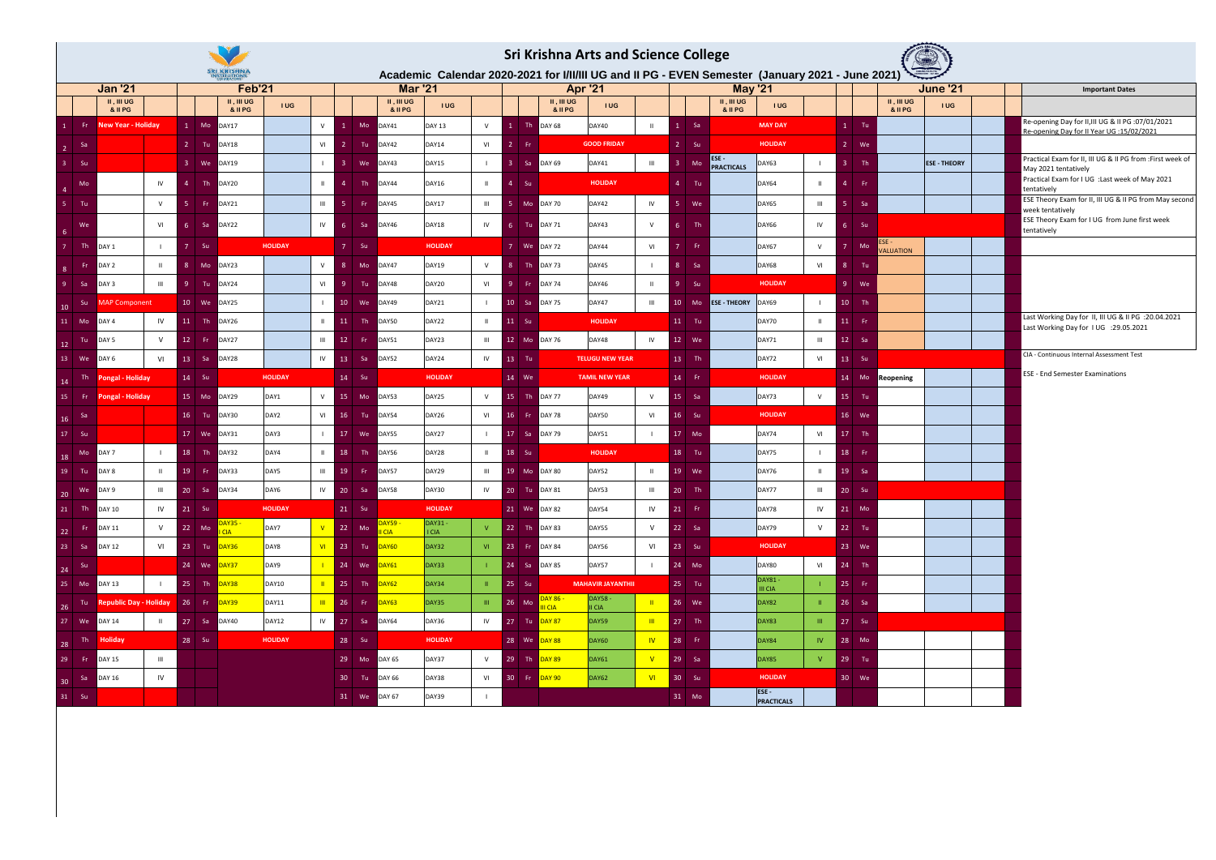| <b>Sri Krishna Arts and Science College</b><br>Academic Calendar 2020-2021 for I/II/III UG and II PG - EVEN Semester (January 2021 - June 2021) |                                                                     |                             |                               |                |                |                    |                                |                        |                                                 |                           |               |                          |                |                 |           |                           |                                 |                           |                 |                             |                     |  |                                                                                                  |
|-------------------------------------------------------------------------------------------------------------------------------------------------|---------------------------------------------------------------------|-----------------------------|-------------------------------|----------------|----------------|--------------------|--------------------------------|------------------------|-------------------------------------------------|---------------------------|---------------|--------------------------|----------------|-----------------|-----------|---------------------------|---------------------------------|---------------------------|-----------------|-----------------------------|---------------------|--|--------------------------------------------------------------------------------------------------|
|                                                                                                                                                 |                                                                     |                             | <b>SRI KRISHNA</b>            |                |                |                    |                                |                        |                                                 |                           |               |                          |                |                 |           |                           |                                 |                           |                 |                             |                     |  |                                                                                                  |
|                                                                                                                                                 | <b>Jan '21</b><br>$II, III$ UG                                      |                             | <b>Feb'21</b><br>$II, III$ UG |                |                |                    | $II, III$ UG                   | <b>Mar '21</b>         |                                                 |                           | $II, III$ UG  | <b>Apr '21</b>           |                |                 |           | $II, III$ UG              | <b>May '21</b>                  |                           |                 | $II, III$ UG                | <b>June '21</b>     |  | <b>Important Dates</b>                                                                           |
|                                                                                                                                                 | & II PG                                                             |                             | & II PG                       | <b>IUG</b>     |                |                    | & II PG                        | <b>IUG</b>             |                                                 |                           | & II PG       | <b>IUG</b>               |                |                 |           | & II PG                   | <b>IUG</b>                      |                           |                 | & II PG                     | <b>IUG</b>          |  |                                                                                                  |
| - Fri                                                                                                                                           | <b>New Year - Holiday</b>                                           | $1$ Mo                      | DAY17                         |                | $\vee$         |                    | DAY41<br>Mo                    | <b>DAY 13</b>          | V                                               | Th                        | <b>DAY 68</b> | DAY40                    | $\mathbf{H}$   |                 | - Sa      |                           | <b>MAY DAY</b>                  |                           | $1$ Tu          |                             |                     |  | Re-opening Day for II, III UG & II PG : 07/01/2021<br>Re-opening Day for II Year UG : 15/02/2021 |
| - Sa<br>$\overline{2}$                                                                                                                          |                                                                     | $2$ Tu                      | DAY18                         |                | VI             |                    | Tu<br>DAY42                    | <b>DAY14</b>           | VI                                              | $\overline{2}$<br>-Fri    |               | <b>GOOD FRIDAY</b>       |                | $-2$ Su         |           |                           | <b>HOLIDAY</b>                  |                           | 2 We            |                             |                     |  |                                                                                                  |
| $3$ Su                                                                                                                                          |                                                                     | $3$ We                      | DAY19                         |                |                |                    | DAY43<br>We                    | DAY15                  | $\Box$                                          | $-3$<br>l Sa              | <b>DAY 69</b> | DAY41                    | $\,$ III       |                 | Mo        | ESE-<br><b>PRACTICALS</b> | DAY63                           |                           | - Th<br>-3 - 1  |                             | <b>ESE - THEORY</b> |  | Practical Exam for II, III UG & II PG from : First week of<br>May 2021 tentatively               |
| Mo<br>$\overline{4}$                                                                                                                            | IV                                                                  | $\blacksquare$<br>Δ         | DAY20                         |                | $\mathbf{H}$   | $\Delta$           | DAY44<br>Th.                   | DAY16                  | $\mathbf{H}$                                    | $\sim$ 4<br>-Su           |               | <b>HOLIDAY</b>           |                | $4$ Tu          |           |                           | DAY64                           | $\mathbf{H}$              | - Fr<br>-4      |                             |                     |  | Practical Exam for I UG : Last week of May 2021<br>tentatively                                   |
| 5 Tu                                                                                                                                            | $\mathsf{V}$                                                        | -5.<br>- Fri                | <b>DAY21</b>                  |                | $\mathbf{III}$ |                    | DAY45<br>- Fr                  | <b>DAY17</b>           | $\mathbf{III}$                                  | Mo                        | <b>DAY 70</b> | DAY42                    | IV             |                 | We        |                           | DAY65                           | $\,$ III                  | <b>Sa</b><br>-5 |                             |                     |  | ESE Theory Exam for II, III UG & II PG from May second<br>week tentatively                       |
| We<br>$6^{\circ}$                                                                                                                               | VI                                                                  | -6<br>- Sa                  | DAY22                         |                | IV             | -6                 | DAY46<br>-Sa                   | DAY18                  | IV                                              | $-6$<br>Tu                | <b>DAY 71</b> | DAY43                    | V              | -6              | Th        |                           | DAY66                           | IV                        | Su<br>-6        |                             |                     |  | ESE Theory Exam for I UG from June first week<br>tentatively                                     |
| Th.                                                                                                                                             | DAY 1                                                               | $\overline{7}$<br><b>Su</b> |                               | <b>HOLIDAY</b> |                | $7 -$              | - Su                           | <b>HOLIDAY</b>         |                                                 | 7 We                      | <b>DAY 72</b> | DAY44                    | VI             |                 | - Fr      |                           | DAY67                           | V                         | M               | $ESE -$<br><b>/ALUATION</b> |                     |  |                                                                                                  |
| -Fr<br>8                                                                                                                                        | DAY 2<br>-H.                                                        | 8<br>Mo                     | DAY23                         |                | $\vee$         | 8                  | DAY47<br>Mo                    | <b>DAY19</b>           | V                                               | Th.<br>8 <sup>°</sup>     | <b>DAY 73</b> | DAY45                    | $\mathbf{L}$   | -8              | -Sa       |                           | <b>DAY68</b>                    | VI                        | $-8-$<br>- Tu   |                             |                     |  |                                                                                                  |
| -9.<br>- Sa                                                                                                                                     | DAY 3<br>Ш                                                          | -9.<br>Tu-                  | DAY24                         |                | VI             | 9                  | DAY48<br>Tu                    | DAY20                  | VI                                              | -9.<br>-Fri               | <b>DAY 74</b> | DAY46                    | $\mathbf{H}$   |                 | <b>Su</b> |                           | <b>HOLIDAY</b>                  |                           | $9$ We          |                             |                     |  |                                                                                                  |
| - Su<br>10                                                                                                                                      | <b>AAP Component</b>                                                | 10 We                       | DAY25                         |                |                | $10-10$            | DAY49<br>We                    | DAY21                  | $\Box$                                          | 10 <sup>1</sup><br>- Sa   | <b>DAY 75</b> | DAY47                    | $\mathbf{III}$ | 10 <sup>°</sup> | Mo        | <b>ESE - THEORY</b>       | DAY69                           |                           | $10$ Th         |                             |                     |  |                                                                                                  |
| 11<br>Mo                                                                                                                                        | DAY <sub>4</sub><br>IV                                              | 11<br>Th                    | DAY26                         |                | $\mathbf{H}$   | 11                 | DAY50<br>Th.                   | DAY22                  | $\mathbf{H}$                                    | 11 Su                     |               | <b>HOLIDAY</b>           |                | $11$ Tu         |           |                           | DAY70                           | $\mathbf{H}$              | $11$ Fr         |                             |                     |  | Last Working Day for II, III UG & II PG : 20.04.2021<br>Last Working Day for IUG : 29.05.2021    |
| Tu<br>12                                                                                                                                        | $\vee$<br>DAY 5                                                     | 12<br>- Fri                 | DAY27                         |                | $\mathbf{III}$ | 12 <sup>2</sup>    | DAY51<br>-Fr                   | DAY23                  | $\mathbf{III}$                                  | $12$ Mo                   | <b>DAY 76</b> | DAY48                    | IV             | 12 We           |           |                           | DAY71                           | $\,$ III                  | $12$ Sa         |                             |                     |  |                                                                                                  |
| 13 We                                                                                                                                           | VI<br>DAY 6                                                         | $13$ Sa                     | DAY28                         |                | IV             | <b>13</b>          | DAY52<br>-Sa                   | DAY24                  | IV                                              | 13 Tu                     |               | <b>TELUGU NEW YEAR</b>   |                | 13 Th           |           |                           | DAY72                           | VI                        | 13 Su           |                             |                     |  | CIA - Continuous Internal Assessment Test                                                        |
| Th<br>14                                                                                                                                        | ongal - Holiday                                                     | 14 Su                       |                               | <b>HOLIDAY</b> |                | 14 Su              |                                | <b>HOLIDAY</b>         |                                                 | 14 We                     |               | <b>TAMIL NEW YEAR</b>    |                | 14 Fr           |           |                           | <b>HOLIDAY</b>                  |                           | 14 Mo           | Reopening                   |                     |  | <b>ESE - End Semester Examinations</b>                                                           |
| 15<br>– Fri                                                                                                                                     | Pongal - Holiday                                                    | 15 Mo                       | DAY29                         | DAY1           | $\vee$         | 15                 | DAY53<br>Mo                    | DAY25                  | V                                               | $15$ Th                   | <b>DAY 77</b> | DAY49                    | V              | 15 Sa           |           |                           | DAY73                           | V                         | 15 Tu           |                             |                     |  |                                                                                                  |
| - Sa<br>16                                                                                                                                      |                                                                     | 16 Tu                       | DAY30                         | DAY2           | VI             | 16 <sup>1</sup>    | DAY54<br>Tu Tu                 | DAY26                  | VI                                              | $16$ Fr                   | <b>DAY 78</b> | DAY50                    | VI             | 16              | - Su      |                           | <b>HOLIDAY</b>                  |                           | 16 We           |                             |                     |  |                                                                                                  |
| 17 Su                                                                                                                                           |                                                                     | 17 We                       | DAY31                         | DAY3           |                | 17 <sup>7</sup>    | DAY55<br>we                    | DAY27                  | $\mathbf{L}$                                    | $17$ Sa                   | <b>DAY 79</b> | DAY51                    |                | $17$ Mo         |           |                           | DAY74                           | VI                        | 17 Th           |                             |                     |  |                                                                                                  |
| Mo<br>18                                                                                                                                        | DAY 7                                                               | 18<br>Th                    | DAY32                         | DAY4           |                | 18                 | DAY56<br>Th.                   | DAY28                  | $\mathbf{H}$                                    | 18 Su                     |               | <b>HOLIDAY</b>           |                | 18 Tu           |           |                           | DAY75                           | $\mathbf{1}$              | 18 Fr           |                             |                     |  |                                                                                                  |
| 19<br>– Tu                                                                                                                                      | DAY 8<br>$\mathbf{H}$                                               | 19<br>– Fr                  | DAY33                         | DAY5           | $\mathbf{III}$ | 19                 | DAY57<br>- Fri                 | DAY29                  | $\mathbf{m}$                                    | 19 Mo                     | <b>DAY 80</b> | DAY52                    | $\mathbf{H}$   | 19 We           |           |                           | DAY76                           | $\mathbf{H}$              | 19 Sa           |                             |                     |  |                                                                                                  |
| we<br>$\vert$ 20                                                                                                                                | DAY 9<br>III                                                        | $20$ Sa                     | DAY34                         | DAY6           | IV             | 20                 | <b>DAY58</b><br>Sa Sa          | DAY30                  | IV                                              | 20 Tu                     | <b>DAY 81</b> | DAY53                    | $\mathbf{III}$ | 20 Th           |           |                           | DAY77                           | $\,$ III                  | 20<br>Su        |                             |                     |  |                                                                                                  |
| $21$ Th                                                                                                                                         | IV<br><b>DAY 10</b>                                                 | $21$ Su                     |                               | <b>HOLIDAY</b> |                | $21$ Su            |                                | <b>HOLIDAY</b>         |                                                 | 21 We DAY 82              |               | DAY54                    | IV             | $21$ Fr         |           |                           | DAY78                           | IV <sub>1</sub>           | 21 Mo           |                             |                     |  |                                                                                                  |
| , Fr<br>22                                                                                                                                      | V<br><b>DAY 11</b>                                                  | 22 Mo                       | DAY35 -<br><b>I</b> CIA       | DAY7           |                | $\overline{22}$ Mo | <mark>DAY59 -</mark><br>II CIA | <b>DAY31-</b><br>I CIA | V                                               | 22 Th DAY 83              |               | DAY55                    | V              | 22 Sa           |           |                           | DAY79                           | V                         | $22$ Tu         |                             |                     |  |                                                                                                  |
| $23$ Sa                                                                                                                                         | <b>DAY 12</b><br>VI                                                 | 23 Tu <mark>DAY36</mark>    |                               | DAY8           | VI             |                    | 23 Tu <mark>DAY60</mark>       | DAY32                  |                                                 | VI 23 Fr DAY 84           |               | DAY56                    | VI             | 23 Su           |           |                           | <b>HOLIDAY</b>                  |                           | 23 We           |                             |                     |  |                                                                                                  |
| 24 Su                                                                                                                                           |                                                                     | 24 We <mark>DAY37</mark>    |                               | DAY9           |                |                    | 24 We <mark>DAY61</mark>       | DAY33                  | $-1$                                            | 24 Sa DAY 85              |               | DAY57                    | $\mathbf{L}$   | 24 Mo           |           |                           | <b>DAY80</b>                    | VI                        | 24 Th           |                             |                     |  |                                                                                                  |
| 25 Mo DAY 13                                                                                                                                    |                                                                     | 25 Th <mark>DAY38</mark>    |                               | <b>DAY10</b>   |                |                    | 25 Th <mark>DAY62</mark>       | DAY34                  | $\mathbf{H}$                                    | <b>25 Su</b>              |               | <b>MAHAVIR JAYANTHII</b> |                | 25 Tu           |           |                           | <b>DAY81-</b><br><b>III</b> CIA | -15                       | 25 Fr           |                             |                     |  |                                                                                                  |
| 26                                                                                                                                              | Tu   <b>Republic Day - Holiday</b>   26   Fr   <mark>DAY39  </mark> |                             |                               | <b>DAY11</b>   | $\mathbf{m}$   |                    | 26 Fr <mark>DAY63</mark>       | DAY35                  | $\langle \vert \vert \vert \vert \vert \rangle$ | 26 Mo DAY 86 -            |               | <b>DAY58 -</b><br>II CIA | $\blacksquare$ | 26 We           |           |                           | <b>DAY82</b>                    | $\vert \vert \vert \vert$ | 26 Sa           |                             |                     |  |                                                                                                  |
| 27 We                                                                                                                                           | <b>DAY 14</b><br>$\mathbf{H}$                                       | 27 Sa                       | <b>DAY40</b>                  | <b>DAY12</b>   | IV             |                    | 27 Sa DAY64                    | DAY36                  |                                                 | IV 27 Tu DAY 87           |               | DAY59                    | $\mathbf{m}$   | $27$ Th         |           |                           | <b>DAY83</b>                    | <b>THE</b>                | 27 Su           |                             |                     |  |                                                                                                  |
| 28                                                                                                                                              | Th <b>Holiday</b>                                                   | 28 Su                       |                               | <b>HOLIDAY</b> |                | 28 Su              |                                | <b>HOLIDAY</b>         |                                                 | 28 We DAY 88              |               | <b>DAY60</b>             | $\mathbf{W}$   | 28 Fr           |           |                           | <b>DAY84</b>                    | IV                        | 28 Mo           |                             |                     |  |                                                                                                  |
| 29 Fr                                                                                                                                           | <b>DAY 15</b><br>III                                                |                             |                               |                |                |                    | 29 Mo DAY 65                   | DAY37                  | V                                               | 29 Th <mark>DAY 89</mark> |               | <b>DAY61</b>             | $\mathsf{V}$   | 29 Sa           |           |                           | <b>DAY85</b>                    | V                         | 29 Tu           |                             |                     |  |                                                                                                  |
| - Sa<br>30 <sup>°</sup>                                                                                                                         | IV<br><b>DAY 16</b>                                                 |                             |                               |                |                |                    | 30 Tu DAY 66                   | DAY38                  | VI                                              | 30 Fr <mark>DAY 90</mark> |               | <b>DAY62</b>             | VI             | 30 Su           |           |                           | <b>HOLIDAY</b>                  |                           | 30 We           |                             |                     |  |                                                                                                  |
| 31 Su                                                                                                                                           |                                                                     |                             |                               |                |                |                    | 31 We DAY 67                   | DAY39                  | $\mathbf{1}$                                    |                           |               |                          |                | 31 Mo           |           |                           | ESE-<br><b>PRACTICALS</b>       |                           |                 |                             |                     |  |                                                                                                  |